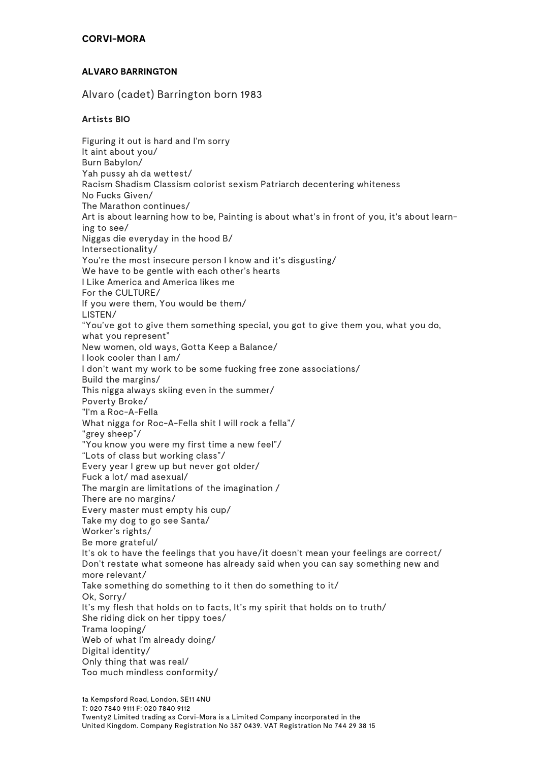# **ALVARO BARRINGTON**

Alvaro (cadet) Barrington born 1983

# **Artists BIO**

Figuring it out is hard and I'm sorry It aint about you/ Burn Babylon/ Yah pussy ah da wettest/ Racism Shadism Classism colorist sexism Patriarch decentering whiteness No Fucks Given/ The Marathon continues/ Art is about learning how to be, Painting is about what's in front of you, it's about learning to see/ Niggas die everyday in the hood B/ Intersectionality/ You're the most insecure person I know and it's disgusting/ We have to be gentle with each other's hearts I Like America and America likes me For the CULTURE/ If you were them, You would be them/ LISTEN/ "You've got to give them something special, you got to give them you, what you do, what you represent" New women, old ways, Gotta Keep a Balance/ I look cooler than I am/ I don't want my work to be some fucking free zone associations/ Build the margins/ This nigga always skiing even in the summer/ Poverty Broke/ "I'm a Roc-A-Fella What nigga for Roc-A-Fella shit I will rock a fella"/ "grey sheep"/ "You know you were my first time a new feel"/ "Lots of class but working class"/ Every year I grew up but never got older/ Fuck a lot/ mad asexual/ The margin are limitations of the imagination / There are no margins/ Every master must empty his cup/ Take my dog to go see Santa/ Worker's rights/ Be more grateful/ It's ok to have the feelings that you have/it doesn't mean your feelings are correct/ Don't restate what someone has already said when you can say something new and more relevant/ Take something do something to it then do something to it/ Ok, Sorry/ It's my flesh that holds on to facts, It's my spirit that holds on to truth/ She riding dick on her tippy toes/ Trama looping/ Web of what I'm already doing/ Digital identity/ Only thing that was real/ Too much mindless conformity/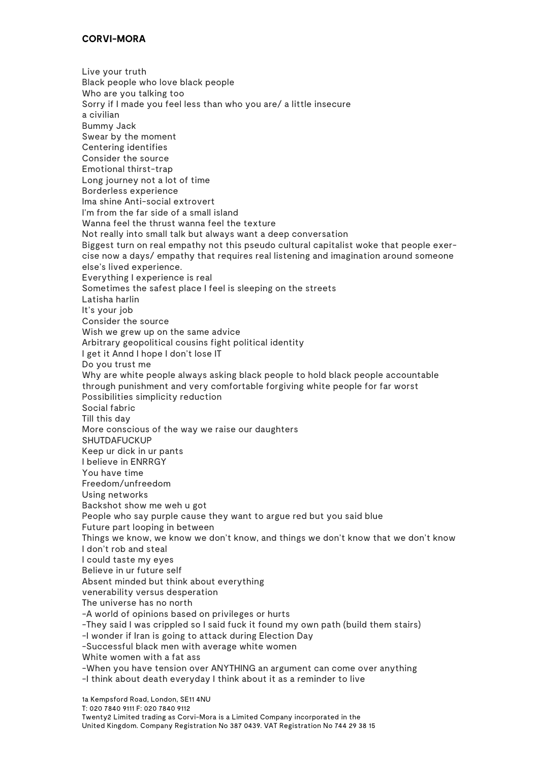#### **CORVI-MORA**

Live your truth Black people who love black people Who are you talking too Sorry if I made you feel less than who you are/ a little insecure a civilian Bummy Jack Swear by the moment Centering identifies Consider the source Emotional thirst-trap Long journey not a lot of time Borderless experience Ima shine Anti-social extrovert I'm from the far side of a small island Wanna feel the thrust wanna feel the texture Not really into small talk but always want a deep conversation Biggest turn on real empathy not this pseudo cultural capitalist woke that people exercise now a days/ empathy that requires real listening and imagination around someone else's lived experience. Everything I experience is real Sometimes the safest place I feel is sleeping on the streets Latisha harlin It's your job Consider the source Wish we grew up on the same advice Arbitrary geopolitical cousins fight political identity I get it Annd I hope I don't lose IT Do you trust me Why are white people always asking black people to hold black people accountable through punishment and very comfortable forgiving white people for far worst Possibilities simplicity reduction Social fabric Till this day More conscious of the way we raise our daughters **SHUTDAFUCKUP** Keep ur dick in ur pants I believe in ENRRGY You have time Freedom/unfreedom Using networks Backshot show me weh u got People who say purple cause they want to argue red but you said blue Future part looping in between Things we know, we know we don't know, and things we don't know that we don't know I don't rob and steal I could taste my eyes Believe in ur future self Absent minded but think about everything venerability versus desperation The universe has no north -A world of opinions based on privileges or hurts -They said I was crippled so I said fuck it found my own path (build them stairs) -I wonder if Iran is going to attack during Election Day -Successful black men with average white women White women with a fat ass -When you have tension over ANYTHING an argument can come over anything -I think about death everyday I think about it as a reminder to live

1a Kempsford Road, London, SE11 4NU T: 020 7840 9111 F: 020 7840 9112 Twenty2 Limited trading as Corvi-Mora is a Limited Company incorporated in the United Kingdom. Company Registration No 387 0439. VAT Registration No 744 29 38 15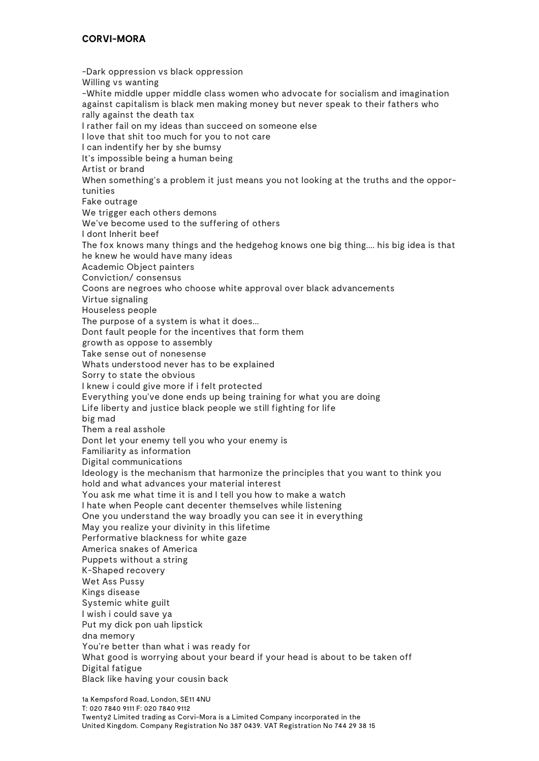### **CORVI-MORA**

-Dark oppression vs black oppression Willing vs wanting -White middle upper middle class women who advocate for socialism and imagination against capitalism is black men making money but never speak to their fathers who rally against the death tax I rather fail on my ideas than succeed on someone else I love that shit too much for you to not care I can indentify her by she bumsy It's impossible being a human being Artist or brand When something's a problem it just means you not looking at the truths and the opportunities Fake outrage We trigger each others demons We've become used to the suffering of others I dont Inherit beef The fox knows many things and the hedgehog knows one big thing.... his big idea is that he knew he would have many ideas Academic Object painters Conviction/ consensus Coons are negroes who choose white approval over black advancements Virtue signaling Houseless people The purpose of a system is what it does... Dont fault people for the incentives that form them growth as oppose to assembly Take sense out of nonesense Whats understood never has to be explained Sorry to state the obvious I knew i could give more if i felt protected Everything you've done ends up being training for what you are doing Life liberty and justice black people we still fighting for life big mad Them a real asshole Dont let your enemy tell you who your enemy is Familiarity as information Digital communications Ideology is the mechanism that harmonize the principles that you want to think you hold and what advances your material interest You ask me what time it is and I tell you how to make a watch I hate when People cant decenter themselves while listening One you understand the way broadly you can see it in everything May you realize your divinity in this lifetime Performative blackness for white gaze America snakes of America Puppets without a string K-Shaped recovery Wet Ass Pussy Kings disease Systemic white guilt I wish i could save ya Put my dick pon uah lipstick dna memory You're better than what i was ready for What good is worrying about your beard if your head is about to be taken off Digital fatigue Black like having your cousin back